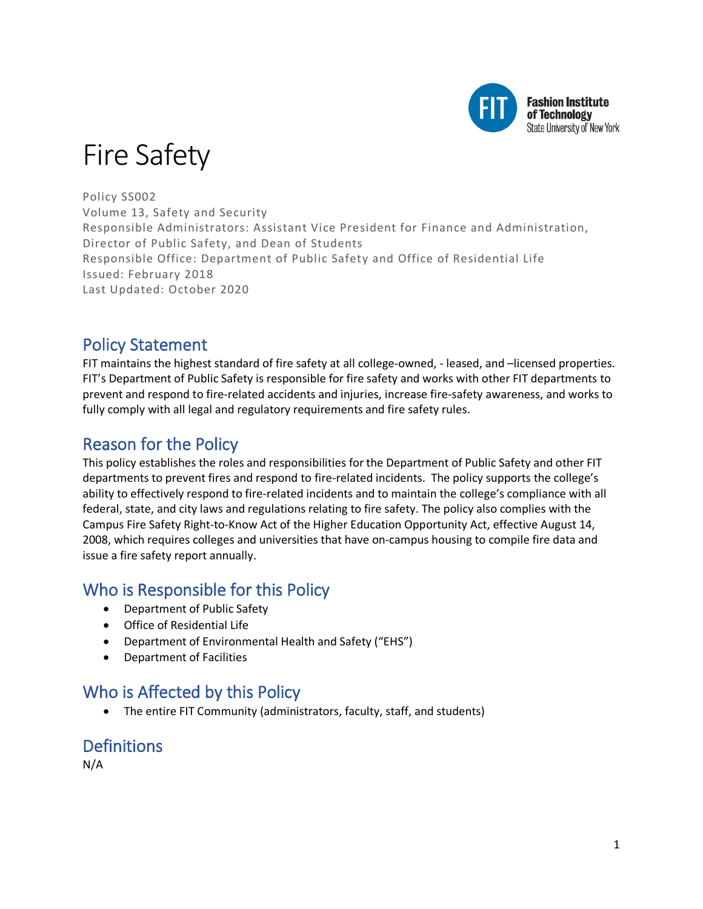

# Fire Safety

Policy SS002 Volume 13, Safety and Security Responsible Administrators: Assistant Vice President for Finance and Administration, Director of Public Safety, and Dean of Students Responsible Office: Department of Public Safety and Office of Residential Life Issued: February 2018 Last Updated: October 2020

### Policy Statement

FIT maintains the highest standard of fire safety at all college-owned, - leased, and –licensed properties. FIT's Department of Public Safety is responsible for fire safety and works with other FIT departments to prevent and respond to fire-related accidents and injuries, increase fire-safety awareness, and works to fully comply with all legal and regulatory requirements and fire safety rules.

### Reason for the Policy

This policy establishes the roles and responsibilities for the Department of Public Safety and other FIT departments to prevent fires and respond to fire-related incidents. The policy supports the college's ability to effectively respond to fire-related incidents and to maintain the college's compliance with all federal, state, and city laws and regulations relating to fire safety. The policy also complies with the Campus Fire Safety Right-to-Know Act of the Higher Education Opportunity Act, effective August 14, 2008, which requires colleges and universities that have on-campus housing to compile fire data and issue a fire safety report annually.

### Who is Responsible for this Policy

- Department of Public Safety
- Office of Residential Life
- Department of Environmental Health and Safety ("EHS")
- Department of Facilities

### Who is Affected by this Policy

• The entire FIT Community (administrators, faculty, staff, and students)

## **Definitions**

N/A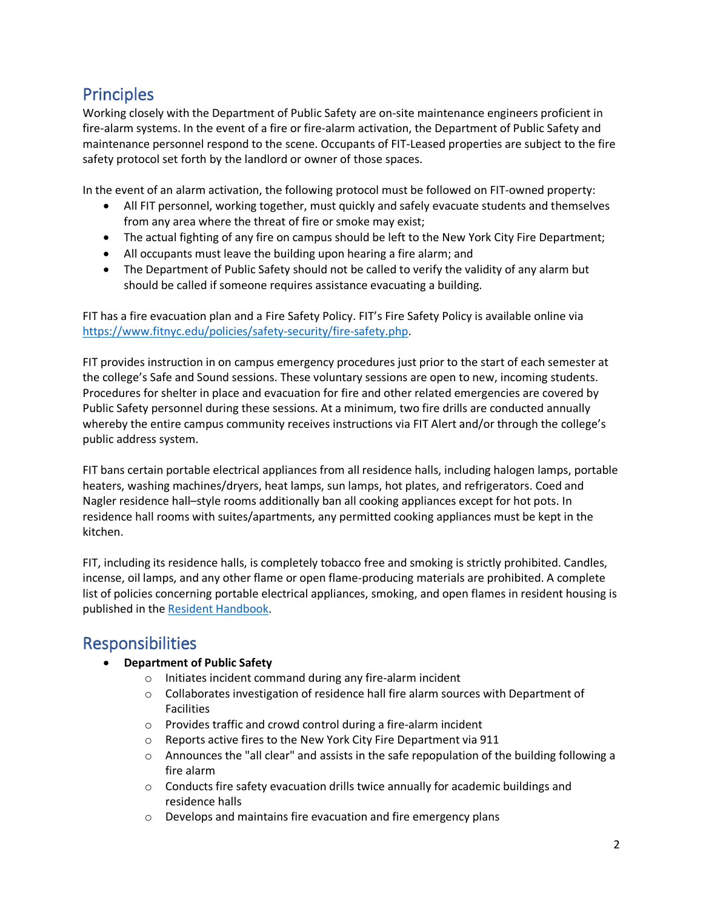### **Principles**

Working closely with the Department of Public Safety are on-site maintenance engineers proficient in fire-alarm systems. In the event of a fire or fire-alarm activation, the Department of Public Safety and maintenance personnel respond to the scene. Occupants of FIT-Leased properties are subject to the fire safety protocol set forth by the landlord or owner of those spaces.

In the event of an alarm activation, the following protocol must be followed on FIT-owned property:

- All FIT personnel, working together, must quickly and safely evacuate students and themselves from any area where the threat of fire or smoke may exist;
- The actual fighting of any fire on campus should be left to the New York City Fire Department;
- All occupants must leave the building upon hearing a fire alarm; and
- The Department of Public Safety should not be called to verify the validity of any alarm but should be called if someone requires assistance evacuating a building.

FIT has a fire evacuation plan and a Fire Safety Policy. FIT's Fire Safety Policy is available online via [https://www.fitnyc.edu/policies/safety-security/fire-safety.php.](https://www.fitnyc.edu/policies/safety-security/fire-safety.php)

FIT provides instruction in on campus emergency procedures just prior to the start of each semester at the college's Safe and Sound sessions. These voluntary sessions are open to new, incoming students. Procedures for shelter in place and evacuation for fire and other related emergencies are covered by Public Safety personnel during these sessions. At a minimum, two fire drills are conducted annually whereby the entire campus community receives instructions via FIT Alert and/or through the college's public address system.

FIT bans certain portable electrical appliances from all residence halls, including halogen lamps, portable heaters, washing machines/dryers, heat lamps, sun lamps, hot plates, and refrigerators. Coed and Nagler residence hall–style rooms additionally ban all cooking appliances except for hot pots. In residence hall rooms with suites/apartments, any permitted cooking appliances must be kept in the kitchen.

FIT, including its residence halls, is completely tobacco free and smoking is strictly prohibited. Candles, incense, oil lamps, and any other flame or open flame-producing materials are prohibited. A complete list of policies concerning portable electrical appliances, smoking, and open flames in resident housing is published in the [Resident Handbook.](http://www.fitnyc.edu/documents/resident-handbook.pdf)

### Responsibilities

- **Department of Public Safety**
	- o Initiates incident command during any fire-alarm incident
	- o Collaborates investigation of residence hall fire alarm sources with Department of Facilities
	- o Provides traffic and crowd control during a fire-alarm incident
	- o Reports active fires to the New York City Fire Department via 911
	- $\circ$  Announces the "all clear" and assists in the safe repopulation of the building following a fire alarm
	- o Conducts fire safety evacuation drills twice annually for academic buildings and residence halls
	- o Develops and maintains fire evacuation and fire emergency plans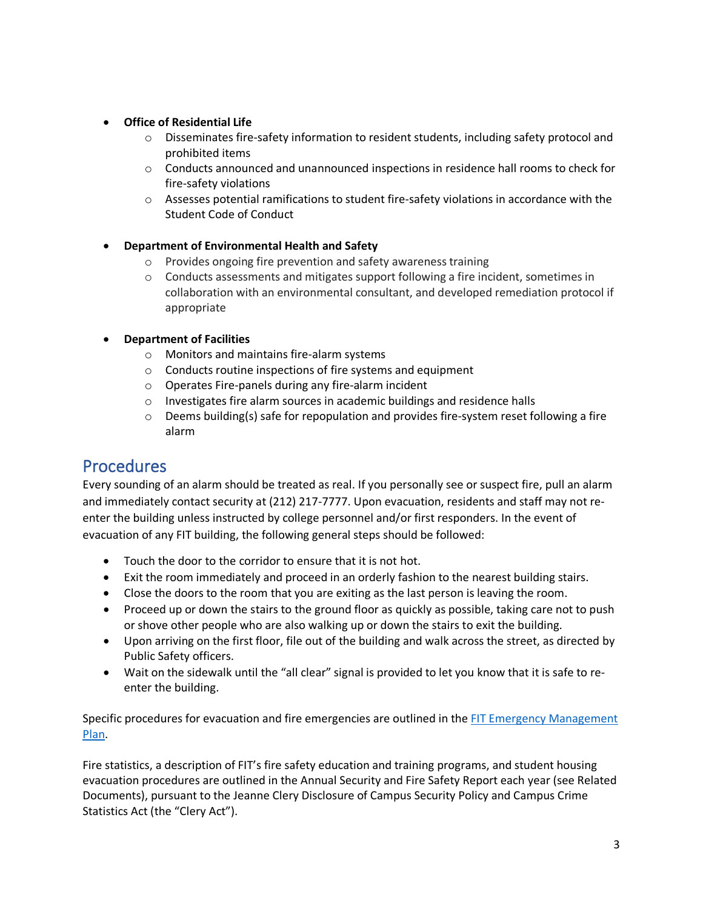#### • **Office of Residential Life**

- $\circ$  Disseminates fire-safety information to resident students, including safety protocol and prohibited items
- $\circ$  Conducts announced and unannounced inspections in residence hall rooms to check for fire-safety violations
- $\circ$  Assesses potential ramifications to student fire-safety violations in accordance with the Student Code of Conduct

#### • **Department of Environmental Health and Safety**

- o Provides ongoing fire prevention and safety awareness training
- o Conducts assessments and mitigates support following a fire incident, sometimes in collaboration with an environmental consultant, and developed remediation protocol if appropriate

#### • **Department of Facilities**

- o Monitors and maintains fire-alarm systems
- o Conducts routine inspections of fire systems and equipment
- o Operates Fire-panels during any fire-alarm incident
- o Investigates fire alarm sources in academic buildings and residence halls
- $\circ$  Deems building(s) safe for repopulation and provides fire-system reset following a fire alarm

### **Procedures**

Every sounding of an alarm should be treated as real. If you personally see or suspect fire, pull an alarm and immediately contact security at (212) 217-7777. Upon evacuation, residents and staff may not reenter the building unless instructed by college personnel and/or first responders. In the event of evacuation of any FIT building, the following general steps should be followed:

- Touch the door to the corridor to ensure that it is not hot.
- Exit the room immediately and proceed in an orderly fashion to the nearest building stairs.
- Close the doors to the room that you are exiting as the last person is leaving the room.
- Proceed up or down the stairs to the ground floor as quickly as possible, taking care not to push or shove other people who are also walking up or down the stairs to exit the building.
- Upon arriving on the first floor, file out of the building and walk across the street, as directed by Public Safety officers.
- Wait on the sidewalk until the "all clear" signal is provided to let you know that it is safe to reenter the building.

Specific procedures for evacuation and fire emergencies are outlined in the FIT Emergency Management [Plan.](http://www.fitnyc.edu/files/pdfs/FIT_Public_Emergency_Management_Plan.pdf)

Fire statistics, a description of FIT's fire safety education and training programs, and student housing evacuation procedures are outlined in the Annual Security and Fire Safety Report each year (see Related Documents), pursuant to the Jeanne Clery Disclosure of Campus Security Policy and Campus Crime Statistics Act (the "Clery Act").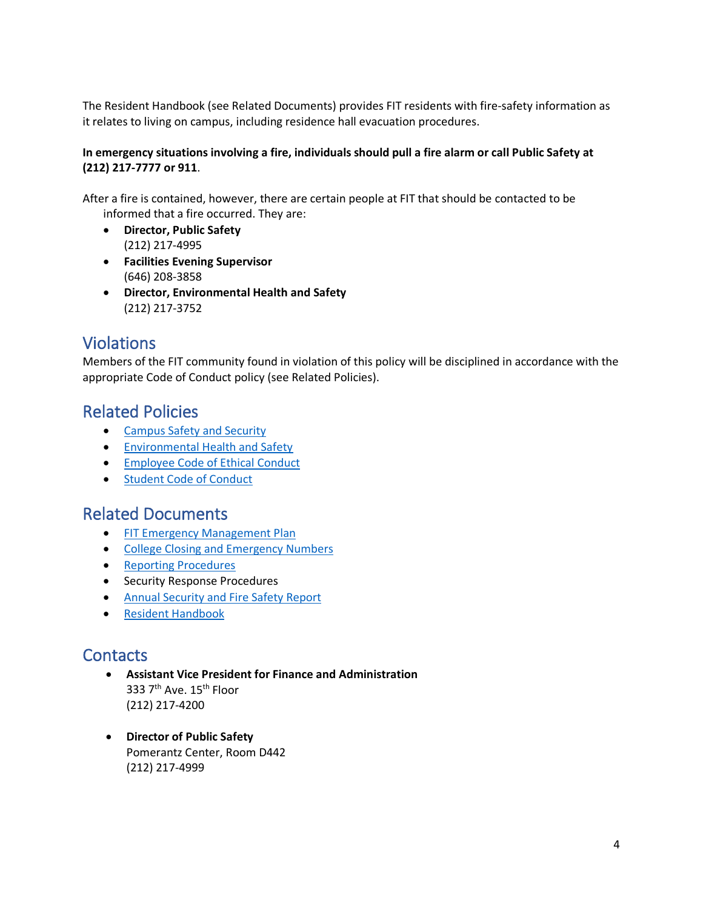The Resident Handbook (see Related Documents) provides FIT residents with fire-safety information as it relates to living on campus, including residence hall evacuation procedures.

#### **In emergency situations involving a fire, individuals should pull a fire alarm or call Public Safety at (212) 217-7777 or 911**.

After a fire is contained, however, there are certain people at FIT that should be contacted to be informed that a fire occurred. They are:

- **Director, Public Safety** (212) 217-4995
- **Facilities Evening Supervisor** (646) 208-3858
- **Director, Environmental Health and Safety** (212) 217-3752

### Violations

Members of the FIT community found in violation of this policy will be disciplined in accordance with the appropriate Code of Conduct policy (see Related Policies).

### Related Policies

- [Campus Safety and Security](http://www.fitnyc.edu/policies/safety-security/campus-safety-and-security.php)
- [Environmental Health and Safety](https://www.fitnyc.edu/policies/safety-security/environmentalhealthandsafety.php)
- [Employee Code of Ethical Conduct](https://www.fitnyc.edu/policies/hr/employee-code-of-ethical-conduct.php)
- [Student Code of Conduct](http://www.fitnyc.edu/policies/enrollment-management/code-of-conduct.php)

### Related Documents

- [FIT Emergency Management Plan](http://www.fitnyc.edu/emergency/index.php)
- [College Closing and Emergency Numbers](http://www.fitnyc.edu/emergency/school-closing.php)
- [Reporting Procedures](http://www.fitnyc.edu/files/pdfs/UGCat9-11_EnrollmentManagement.pdf)
- Security Response Procedures
- Annual [Security and Fire Safety Report](http://www.fitnyc.edu/safety/statistics/)
- [Resident Handbook](https://www.fitnyc.edu/student-life/rights-and-responsibilities/residential-life.php)

### **Contacts**

- **Assistant Vice President for Finance and Administration** 333 7<sup>th</sup> Ave. 15<sup>th</sup> Floor (212) 217-4200
- **Director of Public Safety** Pomerantz Center, Room D442 (212) 217-4999